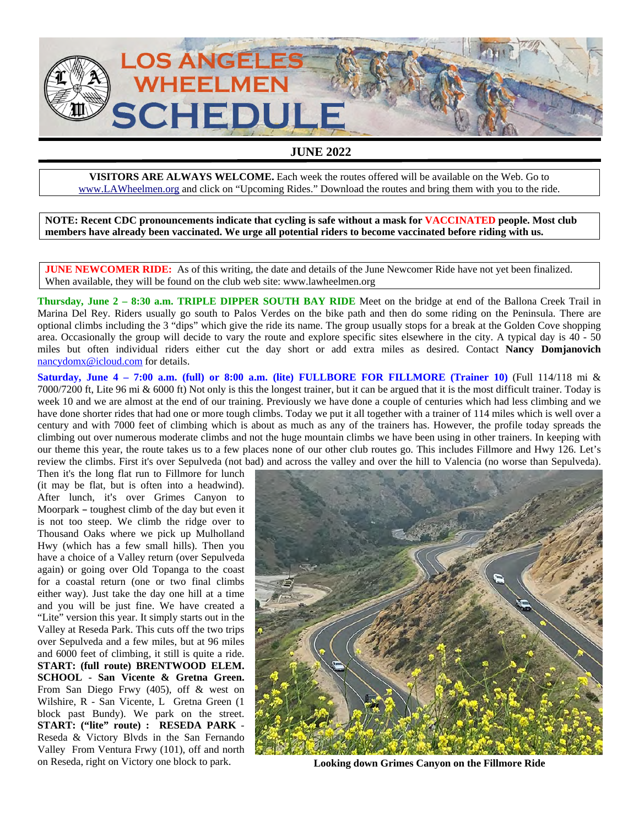

## **JUNE 2022**

**VISITORS ARE ALWAYS WELCOME.** Each week the routes offered will be available on the Web. Go to www.LAWheelmen.org and click on "Upcoming Rides." Download the routes and bring them with you to the ride.

**NOTE: Recent CDC pronouncements indicate that cycling is safe without a mask for VACCINATED people. Most club members have already been vaccinated. We urge all potential riders to become vaccinated before riding with us.** 

**JUNE NEWCOMER RIDE:** As of this writing, the date and details of the June Newcomer Ride have not yet been finalized. When available, they will be found on the club web site: www.lawheelmen.org

**Thursday, June 2 – 8:30 a.m. TRIPLE DIPPER SOUTH BAY RIDE** Meet on the bridge at end of the Ballona Creek Trail in Marina Del Rey. Riders usually go south to Palos Verdes on the bike path and then do some riding on the Peninsula. There are optional climbs including the 3 "dips" which give the ride its name. The group usually stops for a break at the Golden Cove shopping area. Occasionally the group will decide to vary the route and explore specific sites elsewhere in the city. A typical day is 40 - 50 miles but often individual riders either cut the day short or add extra miles as desired. Contact **Nancy Domjanovich** nancydomx@icloud.com for details.

**Saturday, June 4 – 7:00 a.m. (full) or 8:00 a.m. (lite) FULLBORE FOR FILLMORE (Trainer 10)** (Full 114/118 mi  $\&$ 7000/7200 ft, Lite 96 mi & 6000 ft) Not only is this the longest trainer, but it can be argued that it is the most difficult trainer. Today is week 10 and we are almost at the end of our training. Previously we have done a couple of centuries which had less climbing and we have done shorter rides that had one or more tough climbs. Today we put it all together with a trainer of 114 miles which is well over a century and with 7000 feet of climbing which is about as much as any of the trainers has. However, the profile today spreads the climbing out over numerous moderate climbs and not the huge mountain climbs we have been using in other trainers. In keeping with our theme this year, the route takes us to a few places none of our other club routes go. This includes Fillmore and Hwy 126. Let's review the climbs. First it's over Sepulveda (not bad) and across the valley and over the hill to Valencia (no worse than Sepulveda).

Then it's the long flat run to Fillmore for lunch (it may be flat, but is often into a headwind). After lunch, it's over Grimes Canyon to Moorpark - toughest climb of the day but even it is not too steep. We climb the ridge over to Thousand Oaks where we pick up Mulholland Hwy (which has a few small hills). Then you have a choice of a Valley return (over Sepulveda again) or going over Old Topanga to the coast for a coastal return (one or two final climbs either way). Just take the day one hill at a time and you will be just fine. We have created a "Lite" version this year. It simply starts out in the Valley at Reseda Park. This cuts off the two trips over Sepulveda and a few miles, but at 96 miles and 6000 feet of climbing, it still is quite a ride. **START: (full route) BRENTWOOD ELEM. SCHOOL - San Vicente & Gretna Green.** From San Diego Frwy (405), off & west on Wilshire, R - San Vicente, L Gretna Green (1 block past Bundy). We park on the street. **START: ("lite" route) : RESEDA PARK** Reseda & Victory Blvds in the San Fernando Valley From Ventura Frwy (101), off and north on Reseda, right on Victory one block to park. **Looking down Grimes Canyon on the Fillmore Ride** 

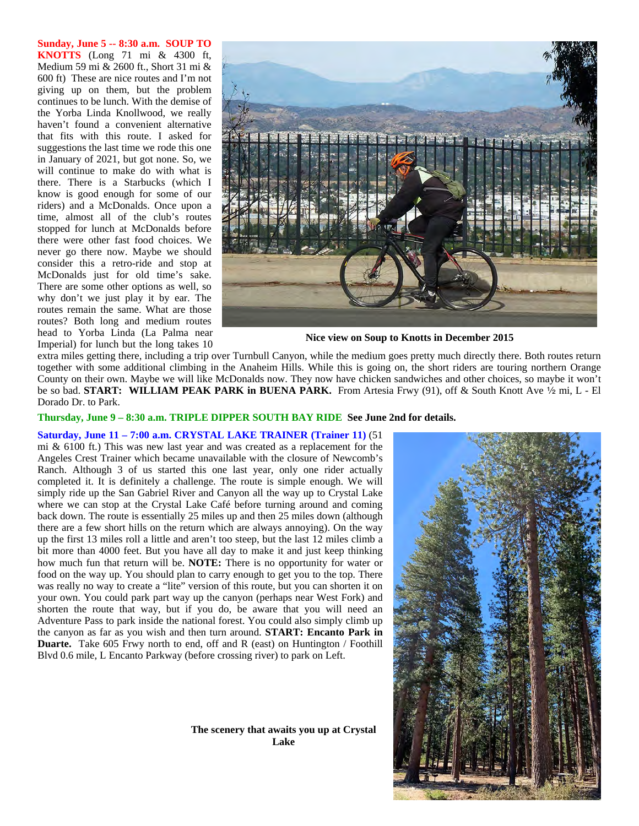**Sunday, June 5 -- 8:30 a.m. SOUP TO KNOTTS** (Long 71 mi & 4300 ft, Medium 59 mi & 2600 ft., Short 31 mi & 600 ft) These are nice routes and I'm not giving up on them, but the problem continues to be lunch. With the demise of the Yorba Linda Knollwood, we really haven't found a convenient alternative that fits with this route. I asked for suggestions the last time we rode this one in January of 2021, but got none. So, we will continue to make do with what is there. There is a Starbucks (which I know is good enough for some of our riders) and a McDonalds. Once upon a time, almost all of the club's routes stopped for lunch at McDonalds before there were other fast food choices. We never go there now. Maybe we should consider this a retro-ride and stop at McDonalds just for old time's sake. There are some other options as well, so why don't we just play it by ear. The routes remain the same. What are those routes? Both long and medium routes head to Yorba Linda (La Palma near Imperial) for lunch but the long takes 10



**Nice view on Soup to Knotts in December 2015** 

extra miles getting there, including a trip over Turnbull Canyon, while the medium goes pretty much directly there. Both routes return together with some additional climbing in the Anaheim Hills. While this is going on, the short riders are touring northern Orange County on their own. Maybe we will like McDonalds now. They now have chicken sandwiches and other choices, so maybe it won't be so bad. **START: WILLIAM PEAK PARK in BUENA PARK.** From Artesia Frwy (91), off & South Knott Ave 1/2 mi, L - El Dorado Dr. to Park.

**Thursday, June 9 – 8:30 a.m. TRIPLE DIPPER SOUTH BAY RIDE See June 2nd for details.** 

**Saturday, June 11 – 7:00 a.m. CRYSTAL LAKE TRAINER (Trainer 11)** (51 mi & 6100 ft.) This was new last year and was created as a replacement for the Angeles Crest Trainer which became unavailable with the closure of Newcomb's Ranch. Although 3 of us started this one last year, only one rider actually completed it. It is definitely a challenge. The route is simple enough. We will simply ride up the San Gabriel River and Canyon all the way up to Crystal Lake where we can stop at the Crystal Lake Café before turning around and coming back down. The route is essentially 25 miles up and then 25 miles down (although there are a few short hills on the return which are always annoying). On the way up the first 13 miles roll a little and aren't too steep, but the last 12 miles climb a bit more than 4000 feet. But you have all day to make it and just keep thinking how much fun that return will be. **NOTE:** There is no opportunity for water or food on the way up. You should plan to carry enough to get you to the top. There was really no way to create a "lite" version of this route, but you can shorten it on your own. You could park part way up the canyon (perhaps near West Fork) and shorten the route that way, but if you do, be aware that you will need an Adventure Pass to park inside the national forest. You could also simply climb up the canyon as far as you wish and then turn around. **START: Encanto Park in Duarte.** Take 605 Frwy north to end, off and R (east) on Huntington / Foothill Blvd 0.6 mile, L Encanto Parkway (before crossing river) to park on Left.



**The scenery that awaits you up at Crystal Lake**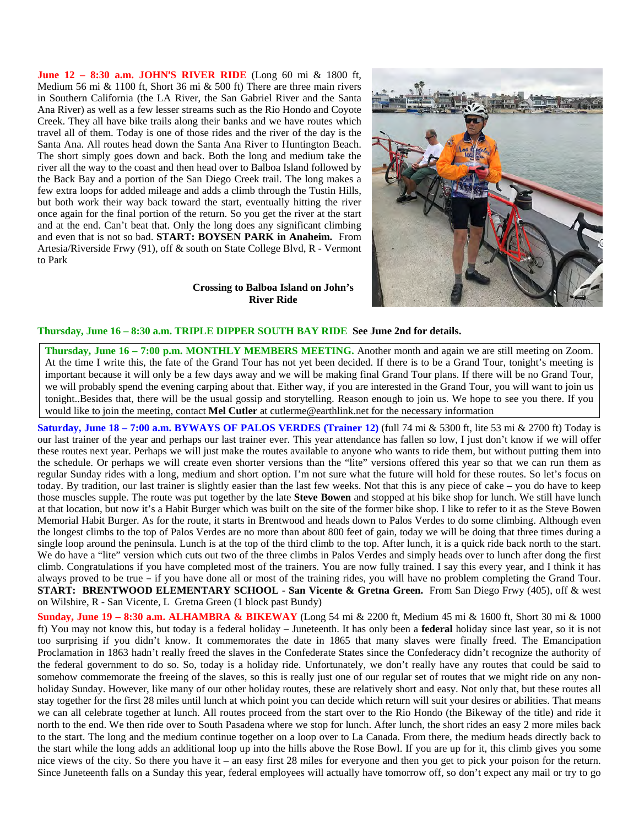**June 12 - 8:30 a.m. JOHN'S RIVER RIDE** (Long 60 mi & 1800 ft, Medium 56 mi & 1100 ft, Short 36 mi & 500 ft) There are three main rivers in Southern California (the LA River, the San Gabriel River and the Santa Ana River) as well as a few lesser streams such as the Rio Hondo and Coyote Creek. They all have bike trails along their banks and we have routes which travel all of them. Today is one of those rides and the river of the day is the Santa Ana. All routes head down the Santa Ana River to Huntington Beach. The short simply goes down and back. Both the long and medium take the river all the way to the coast and then head over to Balboa Island followed by the Back Bay and a portion of the San Diego Creek trail. The long makes a few extra loops for added mileage and adds a climb through the Tustin Hills, but both work their way back toward the start, eventually hitting the river once again for the final portion of the return. So you get the river at the start and at the end. Can't beat that. Only the long does any significant climbing and even that is not so bad. **START: BOYSEN PARK in Anaheim.** From Artesia/Riverside Frwy (91), off & south on State College Blvd, R - Vermont to Park



## **Crossing to Balboa Island on John's River Ride**

## **Thursday, June 16 – 8:30 a.m. TRIPLE DIPPER SOUTH BAY RIDE See June 2nd for details.**

**Thursday, June 16 – 7:00 p.m. MONTHLY MEMBERS MEETING.** Another month and again we are still meeting on Zoom. At the time I write this, the fate of the Grand Tour has not yet been decided. If there is to be a Grand Tour, tonight's meeting is important because it will only be a few days away and we will be making final Grand Tour plans. If there will be no Grand Tour, we will probably spend the evening carping about that. Either way, if you are interested in the Grand Tour, you will want to join us tonight..Besides that, there will be the usual gossip and storytelling. Reason enough to join us. We hope to see you there. If you would like to join the meeting, contact **Mel Cutler** at cutlerme@earthlink.net for the necessary information

**Saturday, June 18 – 7:00 a.m. BYWAYS OF PALOS VERDES (Trainer 12)** (full 74 mi & 5300 ft, lite 53 mi & 2700 ft) Today is our last trainer of the year and perhaps our last trainer ever. This year attendance has fallen so low, I just don't know if we will offer these routes next year. Perhaps we will just make the routes available to anyone who wants to ride them, but without putting them into the schedule. Or perhaps we will create even shorter versions than the "lite" versions offered this year so that we can run them as regular Sunday rides with a long, medium and short option. I'm not sure what the future will hold for these routes. So let's focus on today. By tradition, our last trainer is slightly easier than the last few weeks. Not that this is any piece of cake – you do have to keep those muscles supple. The route was put together by the late **Steve Bowen** and stopped at his bike shop for lunch. We still have lunch at that location, but now it's a Habit Burger which was built on the site of the former bike shop. I like to refer to it as the Steve Bowen Memorial Habit Burger. As for the route, it starts in Brentwood and heads down to Palos Verdes to do some climbing. Although even the longest climbs to the top of Palos Verdes are no more than about 800 feet of gain, today we will be doing that three times during a single loop around the peninsula. Lunch is at the top of the third climb to the top. After lunch, it is a quick ride back north to the start. We do have a "lite" version which cuts out two of the three climbs in Palos Verdes and simply heads over to lunch after dong the first climb. Congratulations if you have completed most of the trainers. You are now fully trained. I say this every year, and I think it has always proved to be true - if you have done all or most of the training rides, you will have no problem completing the Grand Tour. **START: BRENTWOOD ELEMENTARY SCHOOL - San Vicente & Gretna Green.** From San Diego Frwy (405), off & west on Wilshire, R - San Vicente, L Gretna Green (1 block past Bundy)

**Sunday, June 19 – 8:30 a.m. ALHAMBRA & BIKEWAY** (Long 54 mi & 2200 ft, Medium 45 mi & 1600 ft, Short 30 mi & 1000 ft) You may not know this, but today is a federal holiday – Juneteenth. It has only been a **federal** holiday since last year, so it is not too surprising if you didn't know. It commemorates the date in 1865 that many slaves were finally freed. The Emancipation Proclamation in 1863 hadn't really freed the slaves in the Confederate States since the Confederacy didn't recognize the authority of the federal government to do so. So, today is a holiday ride. Unfortunately, we don't really have any routes that could be said to somehow commemorate the freeing of the slaves, so this is really just one of our regular set of routes that we might ride on any nonholiday Sunday. However, like many of our other holiday routes, these are relatively short and easy. Not only that, but these routes all stay together for the first 28 miles until lunch at which point you can decide which return will suit your desires or abilities. That means we can all celebrate together at lunch. All routes proceed from the start over to the Rio Hondo (the Bikeway of the title) and ride it north to the end. We then ride over to South Pasadena where we stop for lunch. After lunch, the short rides an easy 2 more miles back to the start. The long and the medium continue together on a loop over to La Canada. From there, the medium heads directly back to the start while the long adds an additional loop up into the hills above the Rose Bowl. If you are up for it, this climb gives you some nice views of the city. So there you have it – an easy first 28 miles for everyone and then you get to pick your poison for the return. Since Juneteenth falls on a Sunday this year, federal employees will actually have tomorrow off, so don't expect any mail or try to go